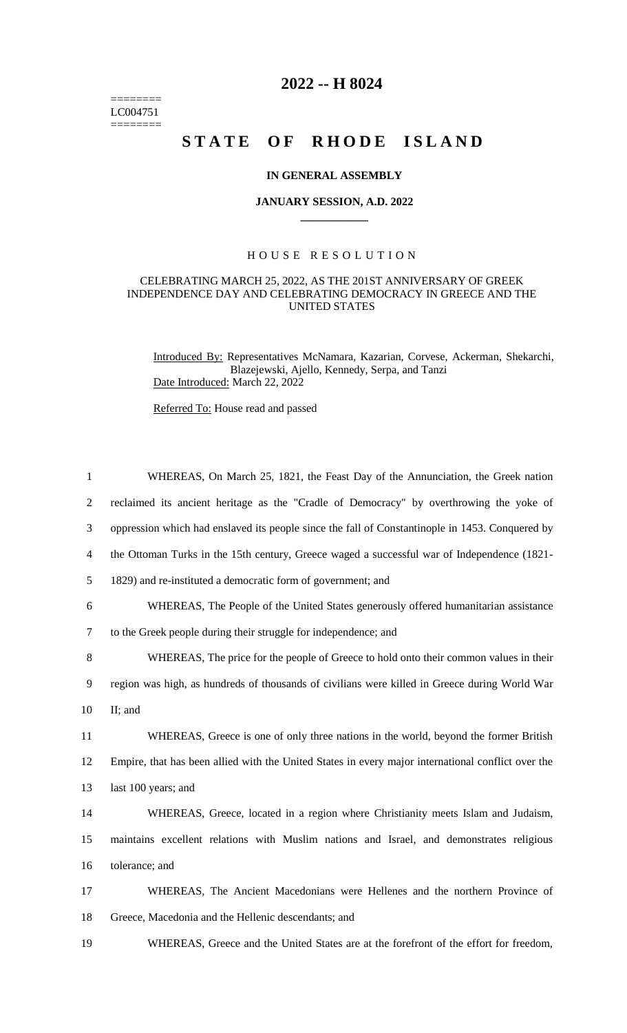======== LC004751  $=$ 

## **2022 -- H 8024**

# **STATE OF RHODE ISLAND**

#### **IN GENERAL ASSEMBLY**

#### **JANUARY SESSION, A.D. 2022 \_\_\_\_\_\_\_\_\_\_\_\_**

### H O U S E R E S O L U T I O N

#### CELEBRATING MARCH 25, 2022, AS THE 201ST ANNIVERSARY OF GREEK INDEPENDENCE DAY AND CELEBRATING DEMOCRACY IN GREECE AND THE UNITED STATES

Introduced By: Representatives McNamara, Kazarian, Corvese, Ackerman, Shekarchi, Blazejewski, Ajello, Kennedy, Serpa, and Tanzi Date Introduced: March 22, 2022

Referred To: House read and passed

| $\mathbf{1}$   | WHEREAS, On March 25, 1821, the Feast Day of the Annunciation, the Greek nation                    |
|----------------|----------------------------------------------------------------------------------------------------|
| $\overline{2}$ | reclaimed its ancient heritage as the "Cradle of Democracy" by overthrowing the yoke of            |
| 3              | oppression which had enslaved its people since the fall of Constantinople in 1453. Conquered by    |
| 4              | the Ottoman Turks in the 15th century, Greece waged a successful war of Independence (1821-        |
| 5              | 1829) and re-instituted a democratic form of government; and                                       |
| 6              | WHEREAS, The People of the United States generously offered humanitarian assistance                |
| 7              | to the Greek people during their struggle for independence; and                                    |
| 8              | WHEREAS, The price for the people of Greece to hold onto their common values in their              |
| 9              | region was high, as hundreds of thousands of civilians were killed in Greece during World War      |
| 10             | II; and                                                                                            |
| 11             | WHEREAS, Greece is one of only three nations in the world, beyond the former British               |
| 12             | Empire, that has been allied with the United States in every major international conflict over the |
| 13             | last 100 years; and                                                                                |
| 14             | WHEREAS, Greece, located in a region where Christianity meets Islam and Judaism,                   |
| 15             | maintains excellent relations with Muslim nations and Israel, and demonstrates religious           |
| 16             | tolerance; and                                                                                     |
| 17             | WHEREAS, The Ancient Macedonians were Hellenes and the northern Province of                        |
| 18             | Greece, Macedonia and the Hellenic descendants; and                                                |
| 19             | WHEREAS, Greece and the United States are at the forefront of the effort for freedom,              |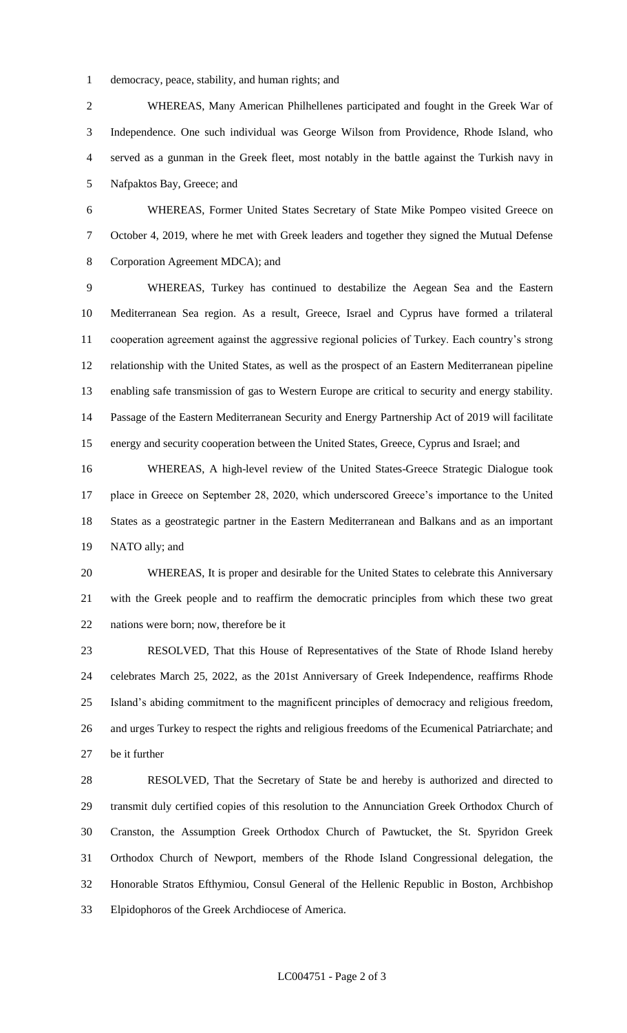democracy, peace, stability, and human rights; and

 WHEREAS, Many American Philhellenes participated and fought in the Greek War of Independence. One such individual was George Wilson from Providence, Rhode Island, who served as a gunman in the Greek fleet, most notably in the battle against the Turkish navy in Nafpaktos Bay, Greece; and

 WHEREAS, Former United States Secretary of State Mike Pompeo visited Greece on October 4, 2019, where he met with Greek leaders and together they signed the Mutual Defense Corporation Agreement MDCA); and

 WHEREAS, Turkey has continued to destabilize the Aegean Sea and the Eastern Mediterranean Sea region. As a result, Greece, Israel and Cyprus have formed a trilateral cooperation agreement against the aggressive regional policies of Turkey. Each country's strong relationship with the United States, as well as the prospect of an Eastern Mediterranean pipeline enabling safe transmission of gas to Western Europe are critical to security and energy stability. Passage of the Eastern Mediterranean Security and Energy Partnership Act of 2019 will facilitate energy and security cooperation between the United States, Greece, Cyprus and Israel; and

 WHEREAS, A high-level review of the United States-Greece Strategic Dialogue took place in Greece on September 28, 2020, which underscored Greece's importance to the United States as a geostrategic partner in the Eastern Mediterranean and Balkans and as an important NATO ally; and

 WHEREAS, It is proper and desirable for the United States to celebrate this Anniversary with the Greek people and to reaffirm the democratic principles from which these two great nations were born; now, therefore be it

 RESOLVED, That this House of Representatives of the State of Rhode Island hereby celebrates March 25, 2022, as the 201st Anniversary of Greek Independence, reaffirms Rhode Island's abiding commitment to the magnificent principles of democracy and religious freedom, and urges Turkey to respect the rights and religious freedoms of the Ecumenical Patriarchate; and be it further

 RESOLVED, That the Secretary of State be and hereby is authorized and directed to transmit duly certified copies of this resolution to the Annunciation Greek Orthodox Church of Cranston, the Assumption Greek Orthodox Church of Pawtucket, the St. Spyridon Greek Orthodox Church of Newport, members of the Rhode Island Congressional delegation, the Honorable Stratos Efthymiou, Consul General of the Hellenic Republic in Boston, Archbishop Elpidophoros of the Greek Archdiocese of America.